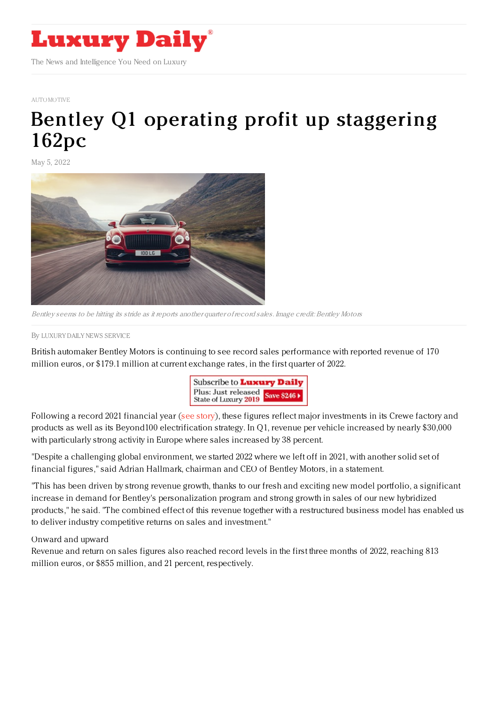

[AUTOMOTIVE](https://www.luxurydaily.com/category/sectors/automotive-industry-sectors/)

## Bentley Q1 operating profit up [staggering](https://www.luxurydaily.com/?p=349670) 162pc

May 5, 2022



Bentley seems to be hitting its stride as it reports another quarter ofrecord sales. Image credit: Bentley Motors

By LUXURY DAILY NEWS [SERVICE](file:///author/luxury-daily-news-service)

British automaker Bentley Motors is continuing to see record sales performance with reported revenue of 170 million euros, or \$179.1 million at current exchange rates, in the first quarter of 2022.



Following a record 2021 financial year (see [story](https://www.luxurydaily.com/bentley-2021-full-year-results/)), these figures reflect major investments in its Crewe factory and products as well as its Beyond100 electrification strategy. In Q1, revenue per vehicle increased by nearly \$30,000 with particularly strong activity in Europe where sales increased by 38 percent.

"Despite a challenging global environment, we started 2022 where we left off in 2021, with another solid set of financial figures," said Adrian Hallmark, chairman and CEO of Bentley Motors, in a statement.

"This has been driven by strong revenue growth, thanks to our fresh and exciting new model portfolio, a significant increase in demand for Bentley's personalization program and strong growth in sales of our new hybridized products," he said. "The combined effect of this revenue together with a restructured business model has enabled us to deliver industry competitive returns on sales and investment."

## Onward and upward

Revenue and return on sales figures also reached record levels in the first three months of 2022, reaching 813 million euros, or \$855 million, and 21 percent, respectively.